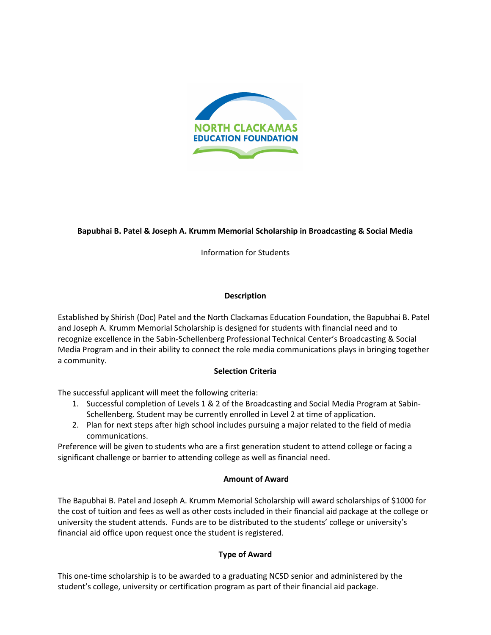

# **Bapubhai B. Patel & Joseph A. Krumm Memorial Scholarship in Broadcasting & Social Media**

Information for Students

# **Description**

Established by Shirish (Doc) Patel and the North Clackamas Education Foundation, the Bapubhai B. Patel and Joseph A. Krumm Memorial Scholarship is designed for students with financial need and to recognize excellence in the Sabin-Schellenberg Professional Technical Center's Broadcasting & Social Media Program and in their ability to connect the role media communications plays in bringing together a community.

### **Selection Criteria**

The successful applicant will meet the following criteria:

- 1. Successful completion of Levels 1 & 2 of the Broadcasting and Social Media Program at Sabin-Schellenberg. Student may be currently enrolled in Level 2 at time of application.
- 2. Plan for next steps after high school includes pursuing a major related to the field of media communications.

Preference will be given to students who are a first generation student to attend college or facing a significant challenge or barrier to attending college as well as financial need.

# **Amount of Award**

The Bapubhai B. Patel and Joseph A. Krumm Memorial Scholarship will award scholarships of \$1000 for the cost of tuition and fees as well as other costs included in their financial aid package at the college or university the student attends. Funds are to be distributed to the students' college or university's financial aid office upon request once the student is registered.

# **Type of Award**

This one-time scholarship is to be awarded to a graduating NCSD senior and administered by the student's college, university or certification program as part of their financial aid package.